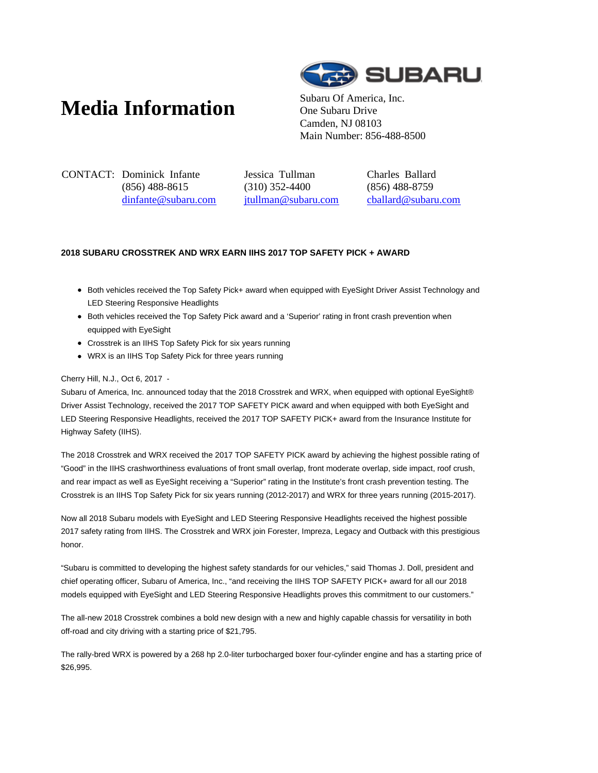# **Media Information** Subaru Of America, Inc.



One Subaru Drive Camden, NJ 08103 Main Number: 856-488-8500

CONTACT: Dominick Infante (856) 488-8615 dinfante@subaru.com Jessica Tullman (310) 352-4400 jtullman@subaru.com Charles Ballard (856) 488-8759 cballard@subaru.com

## **2018 SUBARU CROSSTREK AND WRX EARN IIHS 2017 TOP SAFETY PICK + AWARD**

- Both vehicles received the Top Safety Pick+ award when equipped with EyeSight Driver Assist Technology and LED Steering Responsive Headlights
- Both vehicles received the Top Safety Pick award and a 'Superior' rating in front crash prevention when equipped with EyeSight
- Crosstrek is an IIHS Top Safety Pick for six years running
- WRX is an IIHS Top Safety Pick for three years running

### Cherry Hill, N.J., Oct 6, 2017 -

Subaru of America, Inc. announced today that the 2018 Crosstrek and WRX, when equipped with optional EyeSight® Driver Assist Technology, received the 2017 TOP SAFETY PICK award and when equipped with both EyeSight and LED Steering Responsive Headlights, received the 2017 TOP SAFETY PICK+ award from the Insurance Institute for Highway Safety (IIHS).

The 2018 Crosstrek and WRX received the 2017 TOP SAFETY PICK award by achieving the highest possible rating of "Good" in the IIHS crashworthiness evaluations of front small overlap, front moderate overlap, side impact, roof crush, and rear impact as well as EyeSight receiving a "Superior" rating in the Institute's front crash prevention testing. The Crosstrek is an IIHS Top Safety Pick for six years running (2012-2017) and WRX for three years running (2015-2017).

Now all 2018 Subaru models with EyeSight and LED Steering Responsive Headlights received the highest possible 2017 safety rating from IIHS. The Crosstrek and WRX join Forester, Impreza, Legacy and Outback with this prestigious honor.

"Subaru is committed to developing the highest safety standards for our vehicles," said Thomas J. Doll, president and chief operating officer, Subaru of America, Inc., "and receiving the IIHS TOP SAFETY PICK+ award for all our 2018 models equipped with EyeSight and LED Steering Responsive Headlights proves this commitment to our customers."

The all-new 2018 Crosstrek combines a bold new design with a new and highly capable chassis for versatility in both off-road and city driving with a starting price of \$21,795.

The rally-bred WRX is powered by a 268 hp 2.0-liter turbocharged boxer four-cylinder engine and has a starting price of \$26,995.